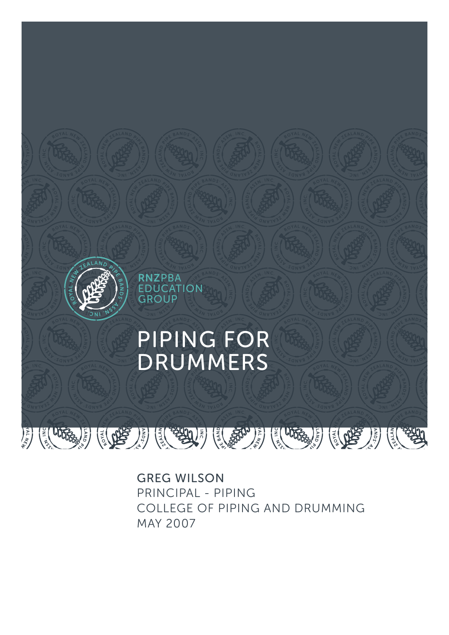

GREG WILSON PRINCIPAL - PIPING COLLEGE OF PIPING AND DRUMMING MAY 2007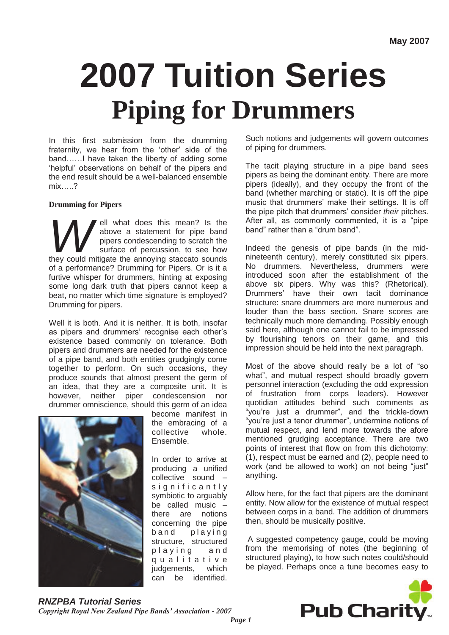# **2007 Tuition Series Piping for Drummers**

In this first submission from the drumming fraternity, we hear from the "other" side of the band……I have taken the liberty of adding some 'helpful' observations on behalf of the pipers and the end result should be a well-balanced ensemble mix…..?

#### **Drumming for Pipers**

**Property** what does this mean? Is the above a statement for pipe band pipers condescending to scratch the surface of percussion, to see how they could mitigate the annoying staccato sounds ell what does this mean? Is the above a statement for pipe band pipers condescending to scratch the surface of percussion, to see how of a performance? Drumming for Pipers. Or is it a furtive whisper for drummers, hinting at exposing some long dark truth that pipers cannot keep a beat, no matter which time signature is employed? Drumming for pipers.

Well it is both. And it is neither. It is both, insofar as pipers and drummers' recognise each other's existence based commonly on tolerance. Both pipers and drummers are needed for the existence of a pipe band, and both entities grudgingly come together to perform. On such occasions, they produce sounds that almost present the germ of an idea, that they are a composite unit. It is however, neither piper condescension nor drummer omniscience, should this germ of an idea



become manifest in the embracing of a collective whole. Ensemble.

In order to arrive at producing a unified collective sound – significantly symbiotic to arguably be called music – there are notions concerning the pipe band playing structure, structured playing and q u a l i t a t i v e judgements, which can be identified.

Such notions and judgements will govern outcomes of piping for drummers.

The tacit playing structure in a pipe band sees pipers as being the dominant entity. There are more pipers (ideally), and they occupy the front of the band (whether marching or static). It is off the pipe music that drummers' make their settings. It is off the pipe pitch that drummers" consider *their* pitches. After all, as commonly commented, it is a "pipe band" rather than a "drum band".

Indeed the genesis of pipe bands (in the midnineteenth century), merely constituted six pipers. No drummers. Nevertheless, drummers were introduced soon after the establishment of the above six pipers. Why was this? (Rhetorical). Drummers" have their own tacit dominance structure: snare drummers are more numerous and louder than the bass section. Snare scores are technically much more demanding. Possibly enough said here, although one cannot fail to be impressed by flourishing tenors on their game, and this impression should be held into the next paragraph.

Most of the above should really be a lot of "so what", and mutual respect should broadly govern personnel interaction (excluding the odd expression of frustration from corps leaders). However quotidian attitudes behind such comments as "you"re just a drummer", and the trickle-down "you"re just a tenor drummer", undermine notions of mutual respect, and lend more towards the afore mentioned grudging acceptance. There are two points of interest that flow on from this dichotomy: (1), respect must be earned and (2), people need to work (and be allowed to work) on not being "just" anything.

Allow here, for the fact that pipers are the dominant entity. Now allow for the existence of mutual respect between corps in a band. The addition of drummers then, should be musically positive.

A suggested competency gauge, could be moving from the memorising of notes (the beginning of structured playing), to how such notes could/should be played. Perhaps once a tune becomes easy to

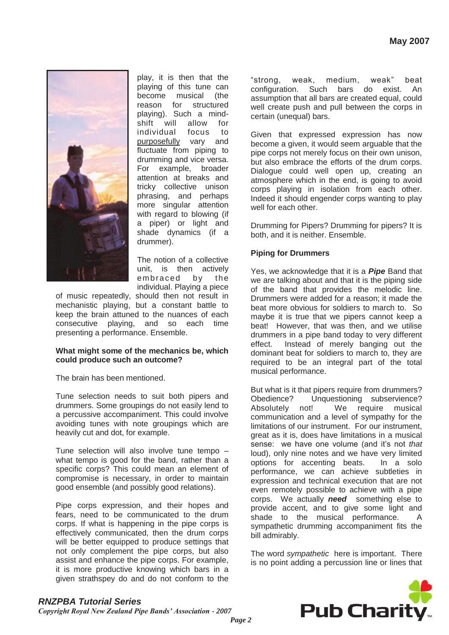

play, it is then that the playing of this tune can become musical (the reason for structured playing). Such a mindshift will allow for individual focus to purposefully vary and fluctuate from piping to drumming and vice versa. For example, broader attention at breaks and tricky collective unison phrasing, and perhaps more singular attention with regard to blowing (if a piper) or light and shade dynamics (if a drummer).

The notion of a collective unit, is then actively embraced by the individual. Playing a piece

of music repeatedly, should then not result in mechanistic playing, but a constant battle to keep the brain attuned to the nuances of each consecutive playing, and so each time presenting a performance. Ensemble.

#### **What might some of the mechanics be, which could produce such an outcome?**

The brain has been mentioned.

Tune selection needs to suit both pipers and drummers. Some groupings do not easily lend to a percussive accompaniment. This could involve avoiding tunes with note groupings which are heavily cut and dot, for example.

Tune selection will also involve tune tempo – what tempo is good for the band, rather than a specific corps? This could mean an element of compromise is necessary, in order to maintain good ensemble (and possibly good relations).

Pipe corps expression, and their hopes and fears, need to be communicated to the drum corps. If what is happening in the pipe corps is effectively communicated, then the drum corps will be better equipped to produce settings that not only complement the pipe corps, but also assist and enhance the pipe corps. For example, it is more productive knowing which bars in a given strathspey do and do not conform to the

"strong, weak, medium, weak" beat configuration. Such bars do exist. An assumption that all bars are created equal, could well create push and pull between the corps in certain (unequal) bars.

Given that expressed expression has now become a given, it would seem arguable that the pipe corps not merely focus on their own unison, but also embrace the efforts of the drum corps. Dialogue could well open up, creating an atmosphere which in the end, is going to avoid corps playing in isolation from each other. Indeed it should engender corps wanting to play well for each other.

Drumming for Pipers? Drumming for pipers? It is both, and it is neither. Ensemble.

### **Piping for Drummers**

Yes, we acknowledge that it is a *Pipe* Band that we are talking about and that it is the piping side of the band that provides the melodic line. Drummers were added for a reason; it made the beat more obvious for soldiers to march to. So maybe it is true that we pipers cannot keep a beat! However, that was then, and we utilise drummers in a pipe band today to very different effect. Instead of merely banging out the dominant beat for soldiers to march to, they are required to be an integral part of the total musical performance.

But what is it that pipers require from drummers? Obedience? Unquestioning subservience? Absolutely not! We require musical communication and a level of sympathy for the limitations of our instrument. For our instrument, great as it is, does have limitations in a musical sense: we have one volume (and it's not *that* loud), only nine notes and we have very limited options for accenting beats. In a solo performance, we can achieve subtleties in expression and technical execution that are not even remotely possible to achieve with a pipe corps. We actually *need* something else to provide accent, and to give some light and shade to the musical performance. A sympathetic drumming accompaniment fits the bill admirably.

The word *sympathetic* here is important. There is no point adding a percussion line or lines that



## *RNZPBA Tutorial Series*

*Copyright Royal New Zealand Pipe Bands' Association - 2007*